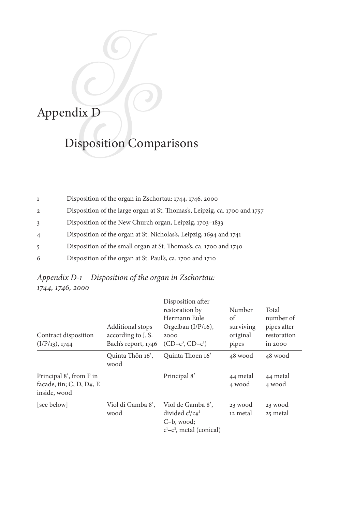# Appendix D

## Disposition Comparisons

| 1               | Disposition of the organ in Zschortau: 1744, 1746, 2000                    |
|-----------------|----------------------------------------------------------------------------|
| $\overline{2}$  | Disposition of the large organ at St. Thomas's, Leipzig, ca. 1700 and 1757 |
| 3               | Disposition of the New Church organ, Leipzig, 1703–1833                    |
| $\overline{4}$  | Disposition of the organ at St. Nicholas's, Leipzig, 1694 and 1741         |
| $5\overline{)}$ | Disposition of the small organ at St. Thomas's, ca. 1700 and 1740          |
| 6               | Disposition of the organ at St. Paul's, ca. 1700 and 1710                  |

#### *Appendix D-1 Disposition of the organ in Zschortau: 1744, 1746, 2000*

| Contract disposition<br>$(I/P/13)$ , 1744                              | Additional stops<br>according to J. S.<br>Bach's report, 1746 | Disposition after<br>restoration by<br>Hermann Eule<br>Orgelbau $(I/P/16)$ ,<br>2000<br>$(CD-c^3, CD-c^1)$ | Number<br>of<br>surviving<br>original<br>pipes | Total<br>number of<br>pipes after<br>restoration<br>in 2000 |
|------------------------------------------------------------------------|---------------------------------------------------------------|------------------------------------------------------------------------------------------------------------|------------------------------------------------|-------------------------------------------------------------|
|                                                                        | Quinta Thön 16',<br>wood                                      | Quinta Thoen 16'                                                                                           | 48 wood                                        | 48 wood                                                     |
| Principal 8', from F in<br>facade, tin; C, D, $D#$ , E<br>inside, wood |                                                               | Principal 8'                                                                                               | 44 metal<br>4 wood                             | 44 metal<br>4 wood                                          |
| [see below]                                                            | Viol di Gamba 8',<br>wood                                     | Viol de Gamba 8',<br>divided $c^1/c \#^1$<br>C-b, wood;<br>$c1-c3$ , metal (conical)                       | 23 wood<br>12 metal                            | 23 wood<br>25 metal                                         |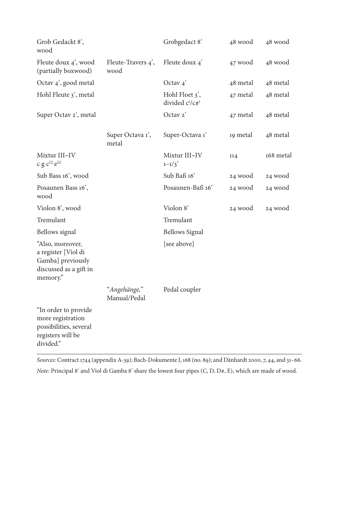| Grob Gedackt 8',<br>wood                                                                              |                              | Grobgedact 8'                               | 48 wood  | 48 wood   |
|-------------------------------------------------------------------------------------------------------|------------------------------|---------------------------------------------|----------|-----------|
| Fleute doux 4', wood<br>(partially boxwood)                                                           | Fleute-Travers 4',<br>wood   | Fleute doux $4'$                            | 47 wood  | 48 wood   |
| Octav 4', good metal                                                                                  |                              | Octav $4'$                                  | 48 metal | 48 metal  |
| Hohl Fleute 3', metal                                                                                 |                              | Hohl Floet 3',<br>divided $c^1/c\ddot{t}^1$ | 47 metal | 48 metal  |
| Super Octav 2', metal                                                                                 |                              | Octav $2'$                                  | 47 metal | 48 metal  |
|                                                                                                       | Super Octava 1',<br>metal    | Super-Octava 1'                             | 19 metal | 48 metal  |
| Mixtur III-IV<br>c g $c^{[1]}e^{[1]}$                                                                 |                              | Mixtur III-IV<br>$1 - 1/3'$                 | 114      | 168 metal |
| Sub Bass 16', wood                                                                                    |                              | Sub Baß 16'                                 | 24 wood  | 24 wood   |
| Posaunen Bass 16',<br>wood                                                                            |                              | Posaunen-Baß 16'                            | 24 wood  | 24 wood   |
| Violon 8', wood                                                                                       |                              | Violon 8'                                   | 24 wood  | 24 wood   |
| Tremulant                                                                                             |                              | Tremulant                                   |          |           |
| Bellows signal                                                                                        |                              | <b>Bellows Signal</b>                       |          |           |
| "Also, moreover,<br>a register [Viol di<br>Gamba] previously<br>discussed as a gift in<br>memory."    |                              | [see above]                                 |          |           |
|                                                                                                       | "Angehänge,"<br>Manual/Pedal | Pedal coupler                               |          |           |
| "In order to provide<br>more registration<br>possibilities, several<br>registers will be<br>divided." |                              |                                             |          |           |

*Sources*: Contract 1744 (appendix A-39); Bach-Dokumente I, 168 (no. 89); and Dänhardt 2000, 7, 44, and 31–66. *Note*: Principal 8' and Viol di Gamba 8' share the lowest four pipes (C, D, D#, E), which are made of wood.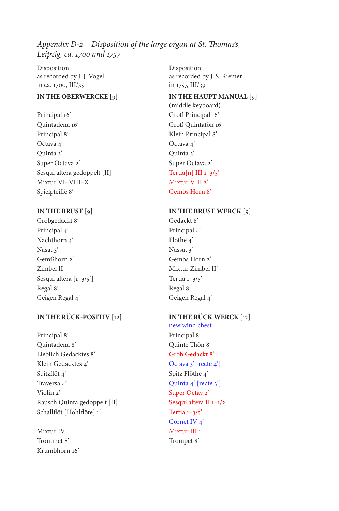*Leipzig, ca. 1700 and 1757* Disposition as recorded by J. J. Vogel in ca. 1700, III/35 Disposition as recorded by J. S. Riemer in 1757, III/39 **IN THE OBERWERCKE** [9] **IN THE HAUPT MANUAL** [9] (middle keyboard) Principal 16' Groß Principal 16' Quintadena 16ʹ Groß Quintatön 16ʹ Principal 8' Klein Principal 8' Octava 4ʹ Octava 4ʹ Quinta 3ʹ Quinta 3ʹ Super Octava 2<sup>'</sup> Super Octava 2<sup>'</sup> Sesqui altera gedoppelt [II] Tertia[n] III 1-3/5' Mixtur VI–VIII–X Mixtur VIII 2ʹ Spielpfeiffe 8ʹ Gembs Horn 8ʹ **IN THE BRUST** [9] **IN THE BRUST WERCK** [9] Grobgedackt 8ʹ Gedackt 8ʹ Principal 4<sup>'</sup> Principal 4<sup>'</sup> Nachthorn 4ʹ Flöthe 4ʹ Nasat 3<sup>'</sup> Nassat 3<sup>'</sup> Gemßhorn 2' Gembs Horn 2' Zimbel II Mixtur Zimbel IIʹ Sesqui altera  $\left[1-3/5'\right]$  Tertia  $1-3/5'$ Regal 8' Regal 8' Geigen Regal 4' Geigen Regal 4' **IN THE RÜCK-POSITIV** [12] **IN THE RÜCK WERCK** [12] new wind chest Principal 8<sup>'</sup> Principal 8<sup>'</sup> Quintadena 8ʹ Quinte Thön 8ʹ Lieblich Gedacktes 8ʹ Grob Gedackt 8ʹ Klein Gedacktes 4' Cotava 3' [recte 4'] Spitzflöt 4′ Spitz Flöthe 4′ Traversa 4<sup>'</sup> Quinta 4<sup>'</sup> [recte 3<sup>'</sup>] Violin 2<sup>'</sup> Super Octav 2<sup>'</sup> Rausch Quinta gedoppelt [II] Sesqui altera II 1-1/2' Schallflöt [Hohlflöte] 1′ Tertia 1–3/5′ Cornet IV 4ʹ Mixtur IV Mixtur III 1' Trommet 8' Trompet 8' Krumbhorn 16ʹ

*Appendix D-2 Disposition of the large organ at St. Thomas's,*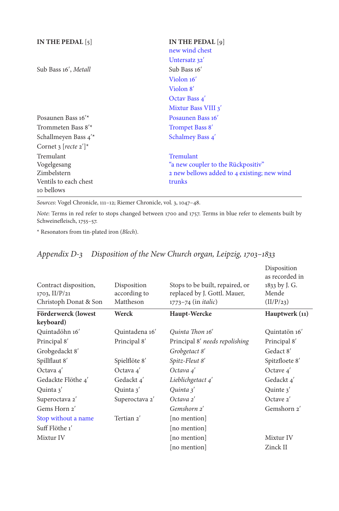| IN THE PEDAL $[5]$               | IN THE PEDAL $\lceil 9 \rceil$              |  |
|----------------------------------|---------------------------------------------|--|
|                                  | new wind chest                              |  |
|                                  | Untersatz 32'                               |  |
| Sub Bass 16', Metall             | Sub Bass 16'                                |  |
|                                  | Violon 16'                                  |  |
|                                  | Violon 8'                                   |  |
|                                  | Octav Bass 4'                               |  |
|                                  | Mixtur Bass VIII 3'                         |  |
| Posaunen Bass 16 <sup>'*</sup>   | Posaunen Bass 16'                           |  |
| Trommeten Bass 8'*               | Trompet Bass 8'                             |  |
| Schallmeyen Bass 4 <sup>'*</sup> | Schalmey Bass 4'                            |  |
| Cornet 3 [recte $2^{\prime}$ ]*  |                                             |  |
| Tremulant                        | <b>Tremulant</b>                            |  |
| Vogelgesang                      | "a new coupler to the Rückpositiv"          |  |
| Zimbelstern                      | 2 new bellows added to 4 existing; new wind |  |
| Ventils to each chest            | trunks                                      |  |
| 10 bellows                       |                                             |  |

*Sources*: Vogel Chronicle, 111–12; Riemer Chronicle, vol. 3, 1047–48.

*Note*: Terms in red refer to stops changed between 1700 and 1757. Terms in blue refer to elements built by Schweinefleisch, 1755–57.

\* Resonators from tin-plated iron (*Blech*).

| Contract disposition,<br>$1703$ , II/P/21<br>Christoph Donat & Son | Disposition<br>according to<br>Mattheson | Stops to be built, repaired, or<br>replaced by J. Gottl. Mauer,<br>1773-74 (in <i>italic</i> ) | Disposition<br>as recorded in<br>1833 by J. G.<br>Mende<br>(II/P/23) |
|--------------------------------------------------------------------|------------------------------------------|------------------------------------------------------------------------------------------------|----------------------------------------------------------------------|
| Förderwerck (lowest                                                | Werck                                    | Haupt-Wercke                                                                                   | Hauptwerk (11)                                                       |
| keyboard)                                                          |                                          |                                                                                                |                                                                      |
| Quintadöhn 16'                                                     | Quintadena 16'                           | Quinta Thon 16'                                                                                | Quintatön 16'                                                        |
| Principal 8'                                                       | Principal 8'                             | Principal 8' needs repolishing                                                                 | Principal 8'                                                         |
| Grobgedackt 8'                                                     |                                          | Grobgetact 8'                                                                                  | Gedact 8'                                                            |
| Spillflaut 8'                                                      | Spielflöte 8'                            | Spitz-Fleut 8'                                                                                 | Spitzfloete 8'                                                       |
| Octava 4'                                                          | Octava 4'                                | Octava 4'                                                                                      | Octave $4'$                                                          |
| Gedackte Flöthe 4'                                                 | Gedackt 4'                               | Lieblichgetact 4'                                                                              | Gedackt 4'                                                           |
| Quinta $3'$                                                        | Quinta $3'$                              | Quinta 3'                                                                                      | Ouinte $3'$                                                          |
| Superoctava 2'                                                     | Superoctava 2'                           | Octava 2'                                                                                      | Octave $2'$                                                          |
| Gems Horn 2'                                                       |                                          | Gemshorn 2'                                                                                    | Gemshorn 2'                                                          |
| Stop without a name                                                | Tertian <sub>2</sub> '                   | [no mention]                                                                                   |                                                                      |
| Suff Flöthe 1'                                                     |                                          | [no mention]                                                                                   |                                                                      |
| Mixtur IV                                                          |                                          | [no mention]                                                                                   | Mixtur IV                                                            |
|                                                                    |                                          | no mention                                                                                     | Zinck II                                                             |

#### *Appendix D-3 Disposition of the New Church organ, Leipzig, 1703–1833*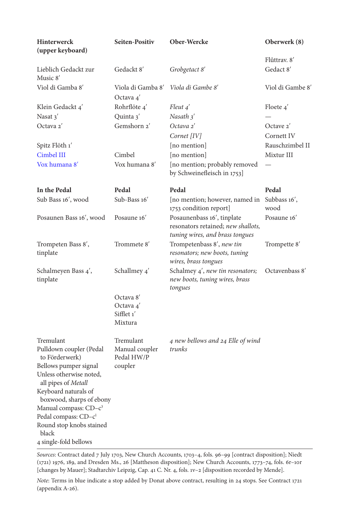| <b>Hinterwerck</b><br>(upper keyboard)                                                                                                                                                                                                                                                                                       | <b>Seiten-Positiv</b>                                | Ober-Wercke                                                                                         | Oberwerk (8)         |
|------------------------------------------------------------------------------------------------------------------------------------------------------------------------------------------------------------------------------------------------------------------------------------------------------------------------------|------------------------------------------------------|-----------------------------------------------------------------------------------------------------|----------------------|
|                                                                                                                                                                                                                                                                                                                              |                                                      |                                                                                                     | Flûttrav. 8'         |
| Lieblich Gedackt zur<br>Music 8'                                                                                                                                                                                                                                                                                             | Gedackt 8'                                           | Grobgetact 8'                                                                                       | Gedact 8'            |
| Viol di Gamba 8'                                                                                                                                                                                                                                                                                                             | Viola di Gamba 8'<br>Octava $4'$                     | Viola di Gambe 8'                                                                                   | Viol di Gambe 8'     |
| Klein Gedackt 4'                                                                                                                                                                                                                                                                                                             | Rohrflöte 4'                                         | Fleut 4'                                                                                            | Floete $4'$          |
| Nasat 3'                                                                                                                                                                                                                                                                                                                     | Quinta 3'                                            | Nasath 3'                                                                                           |                      |
| Octava 2'                                                                                                                                                                                                                                                                                                                    | Gemshorn 2'                                          | Octava 2'                                                                                           | Octave 2'            |
|                                                                                                                                                                                                                                                                                                                              |                                                      | Cornet [IV]                                                                                         | Cornett IV           |
| Spitz Flöth 1'                                                                                                                                                                                                                                                                                                               |                                                      | [no mention]                                                                                        | Rauschzimbel II      |
| Cimbel III                                                                                                                                                                                                                                                                                                                   | Cimbel                                               | no mention                                                                                          | Mixtur III           |
| Vox humana 8'                                                                                                                                                                                                                                                                                                                | Vox humana 8'                                        | [no mention; probably removed<br>by Schweinefleisch in 1753]                                        |                      |
| In the Pedal                                                                                                                                                                                                                                                                                                                 | Pedal                                                | Pedal                                                                                               | Pedal                |
| Sub Bass 16', wood                                                                                                                                                                                                                                                                                                           | Sub-Bass 16'                                         | [no mention; however, named in<br>1753 condition report]                                            | Subbass 16',<br>wood |
| Posaunen Bass 16', wood                                                                                                                                                                                                                                                                                                      | Posaune 16'                                          | Posaunenbass 16', tinplate<br>resonators retained; new shallots,<br>tuning wires, and brass tongues | Posaune 16'          |
| Trompeten Bass 8',<br>tinplate                                                                                                                                                                                                                                                                                               | Trommete 8'                                          | Trompetenbass 8', new tin<br>resonators; new boots, tuning<br>wires, brass tongues                  | Trompette 8'         |
| Schalmeyen Bass 4',<br>tinplate                                                                                                                                                                                                                                                                                              | Schallmey 4'                                         | Schalmey 4', new tin resonators;<br>new boots, tuning wires, brass<br>tongues                       | Octavenbass 8'       |
|                                                                                                                                                                                                                                                                                                                              | Octava 8'<br>Octava 4'<br>Sifflet 1'<br>Mixtura      |                                                                                                     |                      |
| Tremulant<br>Pulldown coupler (Pedal<br>to Förderwerk)<br>Bellows pumper signal<br>Unless otherwise noted,<br>all pipes of Metall<br>Keyboard naturals of<br>boxwood, sharps of ebony<br>Manual compass: CD-c <sup>3</sup><br>Pedal compass: CD-c <sup>1</sup><br>Round stop knobs stained<br>black<br>4 single-fold bellows | Tremulant<br>Manual coupler<br>Pedal HW/P<br>coupler | 4 new bellows and 24 Elle of wind<br>trunks                                                         |                      |

*Sources*: Contract dated 7 July 1703, New Church Accounts, 1703–4, fols. 96–99 [contract disposition]; Niedt (1721) 1976, 189, and Dresden Ms., 26 [Mattheson disposition]; New Church Accounts, 1773–74, fols. 6r–10r [changes by Mauer]; Stadtarchiv Leipzig, Cap. 41 C. Nr. 4, fols. 1v–2 [disposition recorded by Mende].

*Note*: Terms in blue indicate a stop added by Donat above contract, resulting in 24 stops. See Contract 1721 (appendix A-26).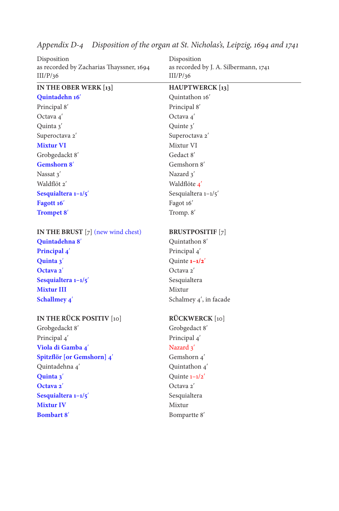| Disposition                              | Disposition                           |
|------------------------------------------|---------------------------------------|
| as recorded by Zacharias Thayssner, 1694 | as recorded by J. A. Silbermann, 1741 |
| III/P/36                                 | III/P/36                              |
| IN THE OBER WERK $[13]$                  | <b>HAUPTWERCK</b> [13]                |
| Quintadehn 16'                           | Quintathon 16'                        |
| Principal 8'                             | Principal 8'                          |
| Octava 4'                                | Octava 4'                             |
| Quinta 3'                                | Quinte $3'$                           |
| Superoctava 2'                           | Superoctava 2'                        |
| <b>Mixtur VI</b>                         | Mixtur VI                             |
| Grobgedackt 8'                           | Gedact 8'                             |
| Gemshorn 8'                              | Gemshorn 8'                           |
| Nassat 3'                                | Nazard 3'                             |
| Waldflöt 2'                              | Waldflöte 4'                          |
| Sesquialtera 1-1/5'                      | Sesquialtera 1-1/5'                   |
| Fagott 16'                               | Fagot 16'                             |
| Trompet 8'                               | Tromp. 8'                             |
| IN THE BRUST [7] (new wind chest)        | <b>BRUSTPOSITIF</b>  7                |
| Quintadehna 8'                           | Quintathon 8'                         |
| Principal 4'                             | Principal 4'                          |
| Quinta 3'                                | Quinte $1-1/2$                        |
| Octava 2'                                | Octava 2'                             |
| Sesquialtera 1-1/5'                      | Sesquialtera                          |
| <b>Mixtur III</b>                        | Mixtur                                |
| Schallmey $4'$                           | Schalmey 4', in facade                |
| IN THE RÜCK POSITIV [10]                 | RÜCKWERCK [10]                        |
| Grobgedackt 8'                           | Grobgedact 8'                         |
| Principal 4'                             | Principal 4'                          |
| Viola di Gamba 4'                        | Nazard $3'$                           |
| Spitzflör [or Gemshorn] 4'               | Gemshorn 4'                           |
| Quintadehna 4'                           | Quintathon 4'                         |
| Quinta $3'$                              | Quinte $1-1/2'$                       |
| Octava 2'                                | Octava 2'                             |
| Sesquialtera 1-1/5'                      | Sesquialtera                          |
| <b>Mixtur IV</b>                         | Mixtur                                |
| <b>Bombart 8'</b>                        | Bompartte 8'                          |
|                                          |                                       |

*Appendix D-4 Disposition of the organ at St. Nicholas's, Leipzig, 1694 and 1741*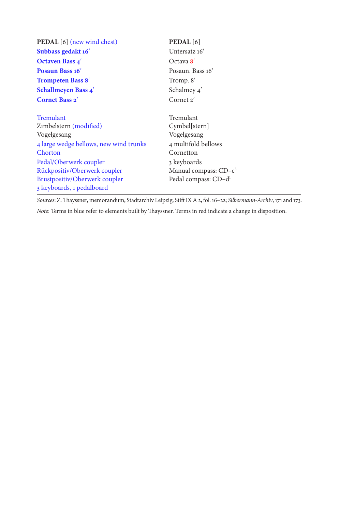| <b>PEDAL</b> [6] (new wind chest)      | PEDAL <sup>[6]</sup>              |
|----------------------------------------|-----------------------------------|
| Subbass gedakt 16'                     | Untersatz 16'                     |
| <b>Octaven Bass 4'</b>                 | Octava 8'                         |
| Posaun Bass 16'                        | Posaun. Bass 16'                  |
| <b>Trompeten Bass 8'</b>               | Tromp. 8'                         |
| <b>Schallmeyen Bass 4'</b>             | Schalmey 4'                       |
| <b>Cornet Bass 2'</b>                  | Cornet 2'                         |
| Tremulant                              | Tremulant                         |
| Zimbelstern (modified)                 | Cymbel[stern]                     |
| Vogelgesang                            | Vogelgesang                       |
| 4 large wedge bellows, new wind trunks | 4 multifold bellows               |
| Chorton                                | Cornetton                         |
| Pedal/Oberwerk coupler                 | 3 keyboards                       |
| Rückpositiv/Oberwerk coupler           | Manual compass: CD-c <sup>3</sup> |
| Brustpositiv/Oberwerk coupler          | Pedal compass: CD-d <sup>1</sup>  |
| 3 keyboards, 1 pedalboard              |                                   |

*Sources*: Z. Thayssner, memorandum, Stadtarchiv Leipzig, Stift IX A 2, fol. 16–22; *Silbermann-Archiv*, 171 and 173.

*Note*: Terms in blue refer to elements built by Thayssner. Terms in red indicate a change in disposition.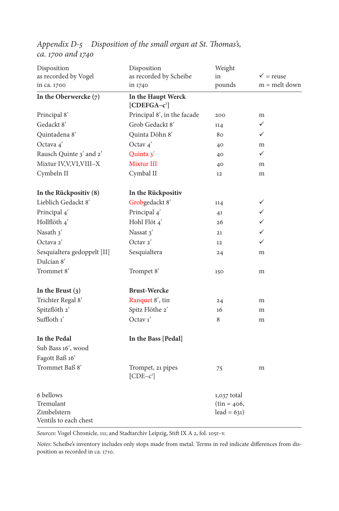| Disposition                 | Disposition                         | Weight            |                      |
|-----------------------------|-------------------------------------|-------------------|----------------------|
| as recorded by Vogel        | as recorded by Scheibe              | in                | $\checkmark$ = reuse |
| in ca. 1700                 | in 1740                             | pounds            | $m =$ melt down      |
| In the Oberwercke $(7)$     | In the Haupt Werck<br>$[CDEFGA-c3]$ |                   |                      |
| Principal 8'                | Principal 8', in the facade         | 200               | m                    |
| Gedackt 8'                  | Grob Gedackt 8'                     | 114               | ✓                    |
| Quintadena 8'               | Quinta Döhn 8'                      | 80                | ✓                    |
| Octava 4'                   | Octav $4'$                          | 40                | m                    |
| Rausch Quinte 3' and 2'     | Quinta 3'                           | 40                | ✓                    |
| Mixtur IV, V, VI, VIII-X    | Mixtur III                          | 40                | m                    |
| Cymbeln II                  | Cymbal II                           | 12                | m                    |
| In the Rückpositiv (8)      | In the Rückpositiv                  |                   |                      |
| Lieblich Gedackt 8'         | Grobgedackt 8'                      | 114               | ✓                    |
| Principal 4'                | Principal 4'                        | 41                | ✓                    |
| Hollflöth 4'                | Hohl Flöt 4'                        | 26                | ✓                    |
| Nasath 3'                   | Nassat 3'                           | 21                | ✓                    |
| Octava 2'                   | Octav $2'$                          | $12 \overline{ }$ | ✓                    |
| Sesquialtera gedoppelt [II] | Sesquialtera                        | 24                | m                    |
| Dulcian 8'                  |                                     |                   |                      |
| Trommet 8'                  | Trompet 8'                          | 150               | m                    |
| In the Brust $(3)$          | <b>Brust-Wercke</b>                 |                   |                      |
| Trichter Regal 8'           | Ranquet 8', tin                     | 24                | m                    |
| Spitzflöth 2'               | Spitz Flöthe 2'                     | 16                | m                    |
| Suffloth 1'                 | Octav $1'$                          | 8                 | m                    |
| In the Pedal                | In the Bass [Pedal]                 |                   |                      |
| Sub Bass 16', wood          |                                     |                   |                      |
| Fagott Baß 16'              |                                     |                   |                      |
| Trommet Baß 8'              | Trompet, 21 pipes<br>$[CDE-c1]$     | 75                | m                    |
| 6 bellows                   |                                     | 1,037 total       |                      |
| Tremulant                   |                                     | $(tin = 406,$     |                      |
| Zimbelstern                 |                                     | $lead = 631$      |                      |
| Ventils to each chest       |                                     |                   |                      |

*Appendix D-5 Disposition of the small organ at St. Thomas's, ca. 1700 and 1740*

*Sources*: Vogel Chronicle, 111; and Stadtarchiv Leipzig, Stift IX A 2, fol. 105r–v.

*Notes*: Scheibe's inventory includes only stops made from metal. Terms in red indicate differences from disposition as recorded in ca. 1710.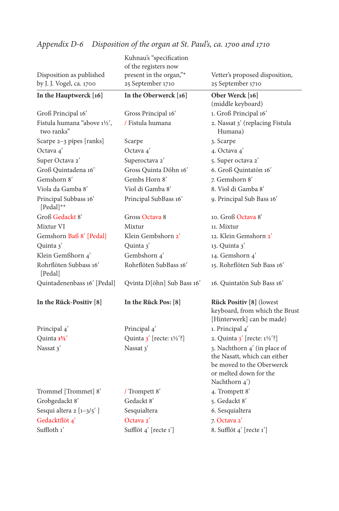|                                            | Kuhnau's "specification                |                                                                                                                                         |
|--------------------------------------------|----------------------------------------|-----------------------------------------------------------------------------------------------------------------------------------------|
|                                            | of the registers now                   |                                                                                                                                         |
| Disposition as published                   | present in the organ,"*                | Vetter's proposed disposition,                                                                                                          |
| by J. J. Vogel, ca. 1700                   | 25 September 1710                      | 25 September 1710                                                                                                                       |
| In the Hauptwerck [16]                     | In the Oberwerck [16]                  | Ober Werck [16]                                                                                                                         |
|                                            |                                        | (middle keyboard)                                                                                                                       |
| Groß Principal 16'                         | Gross Principal 16'                    | 1. Groß Principal 16'                                                                                                                   |
| Fistula humana "above 11/2',<br>two ranks" | / Fistula humana                       | 2. Nassat 3' (replacing Fistula<br>Humana)                                                                                              |
| Scarpe 2-3 pipes [ranks]                   | Scarpe                                 | 3. Scarpe                                                                                                                               |
| Octava 4'                                  | Octava 4'                              | 4. Octava 4'                                                                                                                            |
| Super Octava 2'                            | Superoctava 2'                         | 5. Super octava 2'                                                                                                                      |
| Groß Quintadena 16'                        | Gross Quinta Döhn 16'                  | 6. Groß Quintatön 16'                                                                                                                   |
| Gemshorn 8'                                | Gembs Horn 8'                          | 7. Gemshorn 8'                                                                                                                          |
| Viola da Gamba 8'                          | Viol di Gamba 8'                       | 8. Viol di Gamba 8'                                                                                                                     |
| Principal Subbass 16'<br>[Pedal]**         | Principal SubBass 16'                  | 9. Principal Sub Bass 16'                                                                                                               |
| Groß Gedackt 8'                            | Gross Octava 8                         | 10. Groß Octava 8'                                                                                                                      |
| Mixtur VI                                  | Mixtur                                 | 11. Mixtur                                                                                                                              |
| Gemshorn Baß 8' [Pedal]                    | Klein Gembshorn 2'                     | 12. Klein Gemshorn 2'                                                                                                                   |
| Quinta 3'                                  | Quinta $3'$                            | 13. Quinta $3'$                                                                                                                         |
| Klein Gemßhorn 4'                          | Gembshorn 4'                           | 14. Gemshorn 4'                                                                                                                         |
| Rohrflöten Subbass 16'<br>[Pedal]          | Rohrflöten SubBass 16'                 | 15. Rohrflöten Sub Bass 16'                                                                                                             |
| Quintadenenbass 16' [Pedal]                | Qvinta D[öhn] Sub Bass 16'             | 16. Quintatön Sub Bass 16'                                                                                                              |
| In the Rück-Positiv [8]                    | In the Rück Pos: [8]                   | <b>Rück Positiv [8] (lowest)</b><br>keyboard, from which the Brust<br>[Hinterwerk] can be made)                                         |
| Principal 4'                               | Principal 4'                           | 1. Principal 4'                                                                                                                         |
| Quinta 11/2'                               | Quinta $3'$ [recte: $1\frac{1}{2}'$ ?] | 2. Quinta $3'$ [recte: $1\frac{1}{2}'$ ?]                                                                                               |
| Nassat 3'                                  | Nassat 3'                              | 3. Nachthorn 4' (in place of<br>the Nasatt, which can either<br>be moved to the Oberwerck<br>or melted down for the<br>Nachthorn $4'$ ) |
| Trommel [Trommet] 8'                       | /Trompett 8'                           | 4. Trompett 8'                                                                                                                          |
| Grobgedackt 8'                             | Gedackt 8'                             | 5. Gedackt 8'                                                                                                                           |
| Sesqui altera 2 [1-3/5']                   | Sesquialtera                           | 6. Sesquialtera                                                                                                                         |
| Gedacktflöt 4'                             | Octava 2'                              | 7. Octava 2'                                                                                                                            |
| Suffloth 1'                                | Sufflöt 4' [recte 1']                  | 8. Sufflöt 4' [recte 1']                                                                                                                |

### *Appendix D-6 Disposition of the organ at St. Paul's, ca. 1700 and 1710*